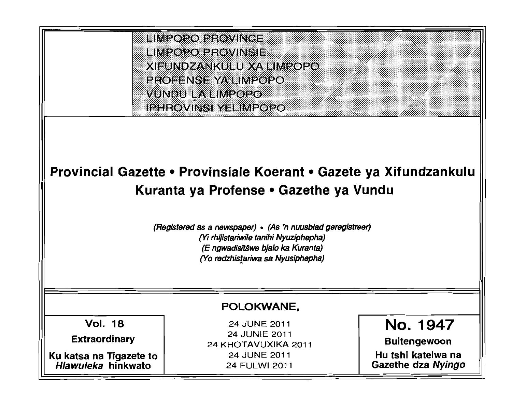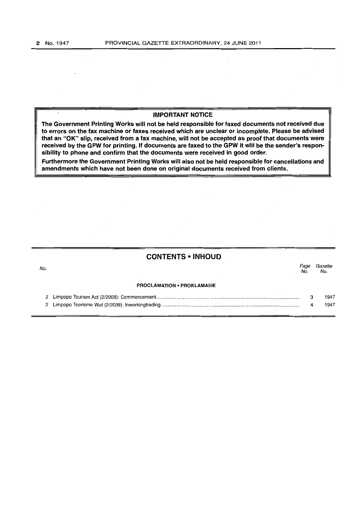#### IMPORTANT NOTICE

The Government Printing Works will not be held responsible for faxed documents not received due to errors on the fax machine or faxes received which are unclear or incomplete. Please be advised that an "OK" slip, received from a fax machine, will not be accepted as proof that documents were received by the GPW for printing. If documents are faxed to the GPW it will be the sender's responsibility to phone and confirm that the documents were received in good order.

Furthermore the Government Printing Works will also not be held responsible for cancellations and amendments which have not been done on original documents received from clients.

# CONTENTS • INHOUD

| No. |                                   | Page<br>No. | Gazette<br>No. |
|-----|-----------------------------------|-------------|----------------|
|     | <b>PROCLAMATION • PROKLAMASIE</b> |             |                |
|     |                                   |             | 1947           |
|     |                                   |             | 1947           |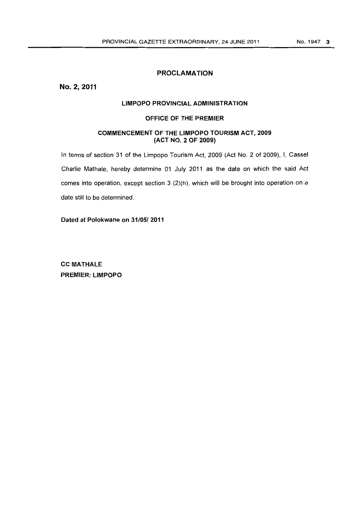## PROCLAMATION

No.2,2011

## LIMPOPO PROVINCIAL ADMINISTRATION

### OFFICE OF THE PREMIER

## COMMENCEMENT OF THE LIMPOPO TOLIRISM ACT, 2009 (ACT NO.2 OF 2009)

In terms of section 31 of the Limpopo Tourism Act, 2009 (Act No. 2 of 2009), I, Cassel Charlie Mathale, hereby determine 01 July 2011 as the date on which the said Act comes into operation, except section 3 (2)(h), which will be brought into operation on a date still to be determined.

Dated at Polokwane on 31/05/2011

CC MATHALE PREMIER: LIMPOPO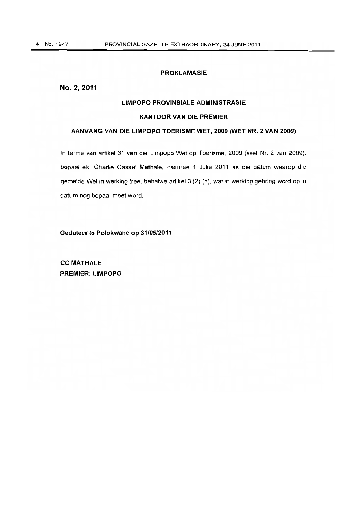## **PROKlAMASIE**

## No. 2, 2011

### **LIMPOPO PROVINSIAlE AOMINISTRASIE**

#### **KANTOOR VAN DIE PREMIER**

## **AANVANG VAN DIE LIMPOPO TOERISME WET, 2009 (WET NR. 2 VAN 2009)**

In terme van artikel 31 van die Limpopo Wet op Toerisme, 2009 (Wet Nr. 2 van 2009), bepaal ek, Charlie Cassel Mathale, hiermee 1 Julie 2011 as die datum waarop die gemelde Wet in werking tree, behalwe artikel 3 (2) (h), wat in werking gebring word op 'n datum nog bepaal moet word.

**Gedateer te Polokwane op 31/05/2011** 

**CC MATHAlE PREMIER: LIMPOPO**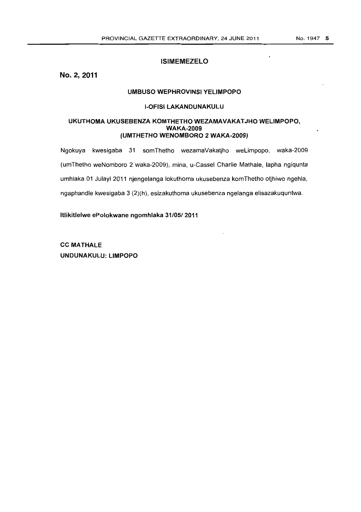## **ISIMEMEZELO**

**No.2,2011** 

### **UMBUSO WEPHROVINSI YELIMPOPO**

#### **I-OFISI LAKANDUNAKULU**

### UKUTHOMA UKUSEBENZA KOMTHETHO WEZAMAVAKATJHO WELIMPOPO, **WAKA-2009 (UMTHETHO WENOMBORO 2 WAKA-2009)**

Ngokuya kwesigaba 31 somThetho wezamaVakatjho weLimpopo, waka-2009 (umThetho weNomboro 2 waka-2009), mina, u-Cassel Charlie Mathale, lapha ngiqunta umhlaka 01 Julayi 2011 njengelanga lokuthoma ukusebenza komThetho otjhiwo ngehla, ngaphandle kwesigaba 3 (2)(h), esizakuthoma ukusebenza ngelanga elisazakuquntwa.

**Itlikitlelwe ePolokwane ngomhlaka 31/051 2011** 

**CC MATHALE UNDUNAKULU: LIMPOPO**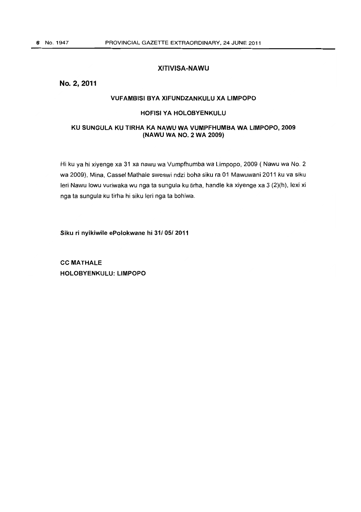## **XITIVISA-NAWU**

## No. 2,2011

### **VUFAMBISI BVA XIFUNDZANKULU XA LIMPOPO**

#### **HOFISI VA HOLOBYENKULU**

### **KU SUNGULA KU TIRHA KA NAWU WA VUMPFHUMBA WA LIMPOPO, 2009 (NAWU WA NO.2 WA 2009)**

Hi ku ya hi xiyenge xa 31 xa nawu wa Vumpfhumba wa Limpopo, 2009 ( Nawu wa No.2 wa 2009), Mina, Cassel Mathale sweswi ndzi boha siku ra 01 Mawuwani 2011 ku va siku leri Nawu lowu vuriwaka wu nga ta sungula ku tirha, handle ka xiyenge xa 3 (2)(h), lexi xi nga ta sungula ku tirha hi siku leri nga ta bohiwa.

**Siku ri nyikiwile ePolokwane hi 31/051 2011** 

**CC MATHALE HOLOBVENKULU: LIMPOPO**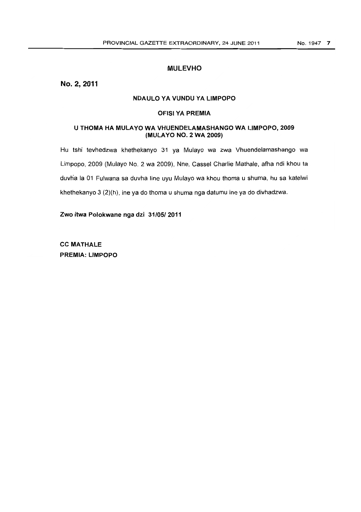## **MULEVHO**

No. 2,2011

### **NDAULO YA VUNDU YA LIMPOPO**

#### **OFISI YA PREMIA**

### **U THOMA HA MULAYO WA VHUENDELAMASHANGO WA LIMPOPO, 2009 (MULA YO NO.2 WA 2009)**

Hu tshi tevhedzwa khethekanyo 31 ya Mulayo wa zwa Vhuendelamashango wa limpopo, 2009 (Mulayo No.2 wa 2009), Nne, Cassel Charlie Mathale, afha ndi khou ta duvha la 01 Fulwana sa duvha line uyu Mulayo wa khou thoma u shuma, hu sa katelwi khethekanyo 3 (2)(h), ine ya do thoma u shuma nga datumu ine ya do divhadzwa.

**Zwo itwa Polokwane** nga **dzi 31/05/2011** 

**CC MATHALE PREMIA: LIMPOPO**